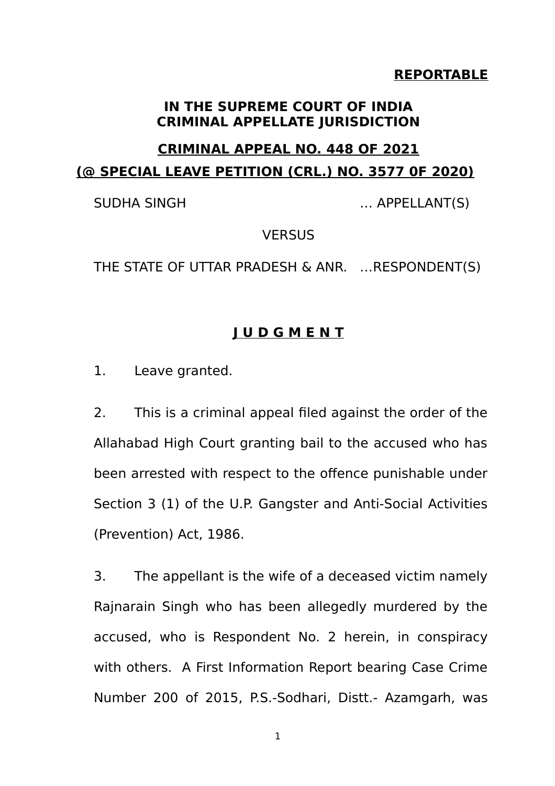### **REPORTABLE**

#### **IN THE SUPREME COURT OF INDIA CRIMINAL APPELLATE JURISDICTION**

# **CRIMINAL APPEAL NO. 448 OF 2021 (@ SPECIAL LEAVE PETITION (CRL.) NO. 3577 0F 2020)**

SUDHA SINGH ... APPELLANT(S)

#### **VERSUS**

THE STATE OF UTTAR PRADESH & ANR. …RESPONDENT(S)

# **J U D G M E N T**

1. Leave granted.

2. This is a criminal appeal filed against the order of the Allahabad High Court granting bail to the accused who has been arrested with respect to the offence punishable under Section 3 (1) of the U.P. Gangster and Anti-Social Activities (Prevention) Act, 1986.

3. The appellant is the wife of a deceased victim namely Rajnarain Singh who has been allegedly murdered by the accused, who is Respondent No. 2 herein, in conspiracy with others. A First Information Report bearing Case Crime Number 200 of 2015, P.S.-Sodhari, Distt.- Azamgarh, was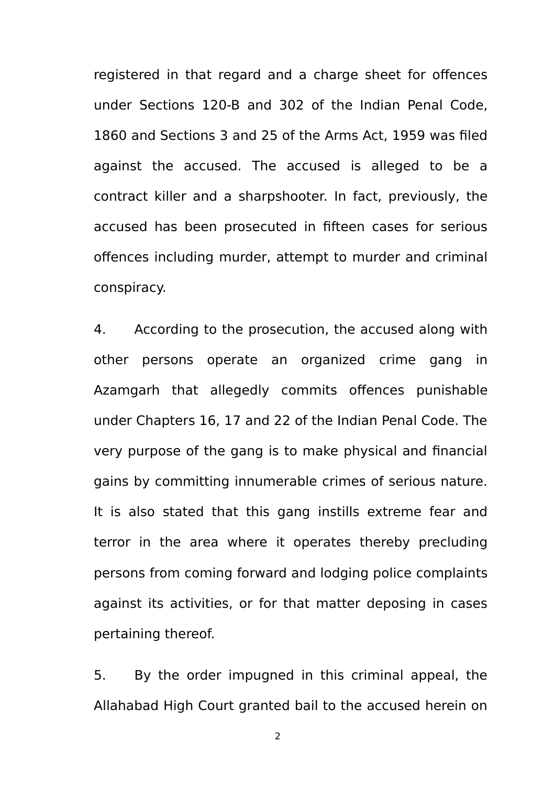registered in that regard and a charge sheet for offences under Sections 120-B and 302 of the Indian Penal Code, 1860 and Sections 3 and 25 of the Arms Act, 1959 was filed against the accused. The accused is alleged to be a contract killer and a sharpshooter. In fact, previously, the accused has been prosecuted in fifteen cases for serious offences including murder, attempt to murder and criminal conspiracy.

4. According to the prosecution, the accused along with other persons operate an organized crime gang in Azamgarh that allegedly commits offences punishable under Chapters 16, 17 and 22 of the Indian Penal Code. The very purpose of the gang is to make physical and financial gains by committing innumerable crimes of serious nature. It is also stated that this gang instills extreme fear and terror in the area where it operates thereby precluding persons from coming forward and lodging police complaints against its activities, or for that matter deposing in cases pertaining thereof.

5. By the order impugned in this criminal appeal, the Allahabad High Court granted bail to the accused herein on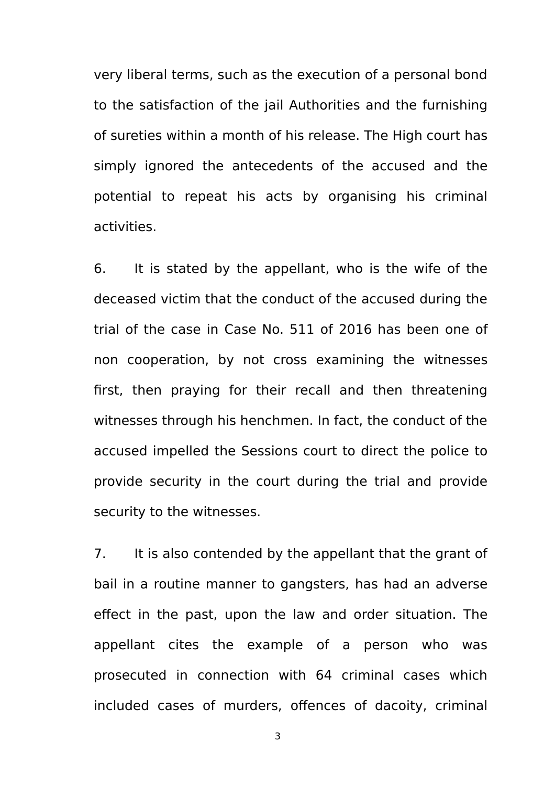very liberal terms, such as the execution of a personal bond to the satisfaction of the jail Authorities and the furnishing of sureties within a month of his release. The High court has simply ignored the antecedents of the accused and the potential to repeat his acts by organising his criminal activities.

6. It is stated by the appellant, who is the wife of the deceased victim that the conduct of the accused during the trial of the case in Case No. 511 of 2016 has been one of non cooperation, by not cross examining the witnesses first, then praying for their recall and then threatening witnesses through his henchmen. In fact, the conduct of the accused impelled the Sessions court to direct the police to provide security in the court during the trial and provide security to the witnesses.

7. It is also contended by the appellant that the grant of bail in a routine manner to gangsters, has had an adverse effect in the past, upon the law and order situation. The appellant cites the example of a person who was prosecuted in connection with 64 criminal cases which included cases of murders, offences of dacoity, criminal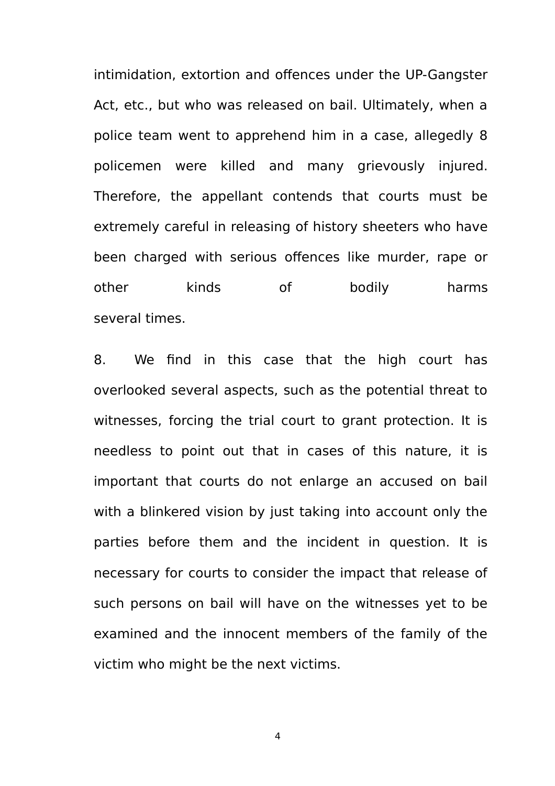intimidation, extortion and offences under the UP-Gangster Act, etc., but who was released on bail. Ultimately, when a police team went to apprehend him in a case, allegedly 8 policemen were killed and many grievously injured. Therefore, the appellant contends that courts must be extremely careful in releasing of history sheeters who have been charged with serious offences like murder, rape or other kinds of bodily harms several times.

8. We find in this case that the high court has overlooked several aspects, such as the potential threat to witnesses, forcing the trial court to grant protection. It is needless to point out that in cases of this nature, it is important that courts do not enlarge an accused on bail with a blinkered vision by just taking into account only the parties before them and the incident in question. It is necessary for courts to consider the impact that release of such persons on bail will have on the witnesses yet to be examined and the innocent members of the family of the victim who might be the next victims.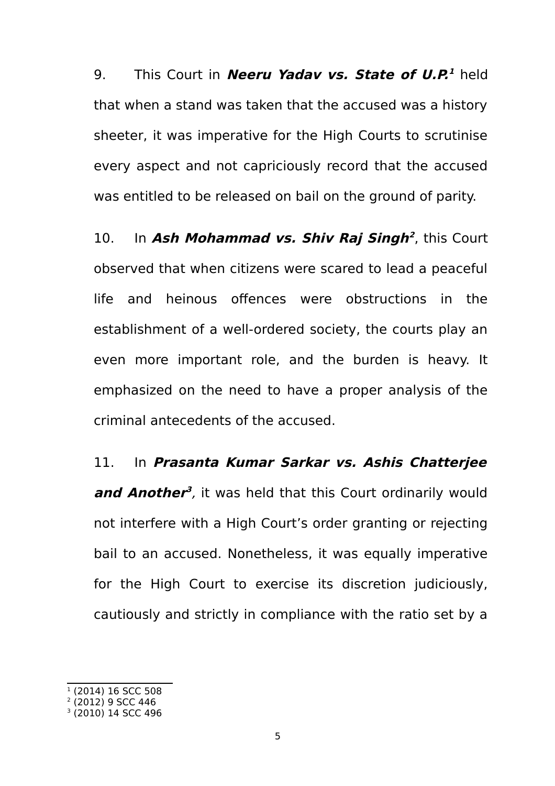9. This Court in **Neeru Yadav vs. State of U.P.**<sup>2</sup> held that when a stand was taken that the accused was a history sheeter, it was imperative for the High Courts to scrutinise every aspect and not capriciously record that the accused was entitled to be released on bail on the ground of parity.

10. In Ash Mohammad vs. Shiv Raj Singh<sup>[2](#page-4-1)</sup>, this Court observed that when citizens were scared to lead a peaceful life and heinous offences were obstructions in the establishment of a well-ordered society, the courts play an even more important role, and the burden is heavy. It emphasized on the need to have a proper analysis of the criminal antecedents of the accused.

## 11. In **Prasanta Kumar Sarkar vs. Ashis Chatterjee**

**and Another [3](#page-4-2)** , it was held that this Court ordinarily would not interfere with a High Court's order granting or rejecting bail to an accused. Nonetheless, it was equally imperative for the High Court to exercise its discretion judiciously, cautiously and strictly in compliance with the ratio set by a

<span id="page-4-0"></span><sup>1</sup> (2014) 16 SCC 508

<span id="page-4-1"></span><sup>2</sup> (2012) 9 SCC 446

<span id="page-4-2"></span><sup>3</sup> (2010) 14 SCC 496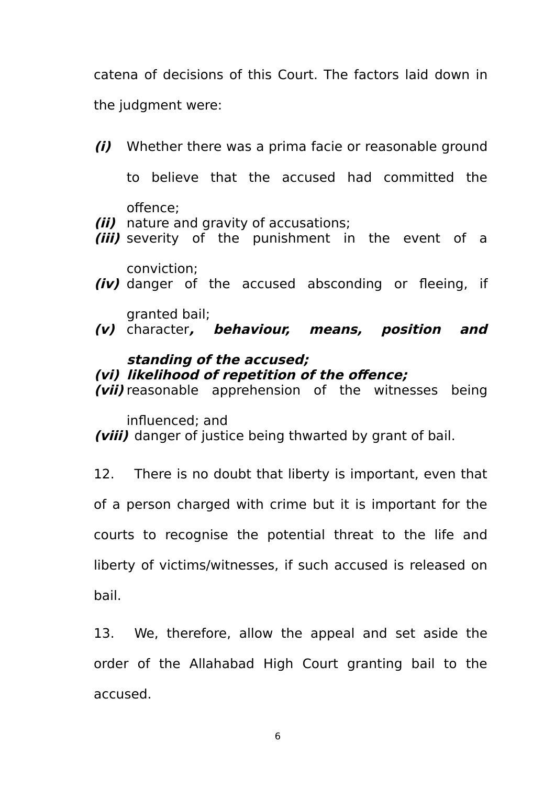catena of decisions of this Court. The factors laid down in the judgment were:

- **(i)** Whether there was a prima facie or reasonable ground to believe that the accused had committed the offence; **(ii)** nature and gravity of accusations;
- **(iii)** severity of the punishment in the event of a
- conviction; **(iv)** danger of the accused absconding or fleeing, if
- granted bail; **(v)** character**, behaviour, means, position and**

# **standing of the accused; (vi) likelihood of repetition of the offence;**

**(vii)** reasonable apprehension of the witnesses being

influenced; and

**(viii)** danger of justice being thwarted by grant of bail.

12. There is no doubt that liberty is important, even that of a person charged with crime but it is important for the courts to recognise the potential threat to the life and liberty of victims/witnesses, if such accused is released on bail.

13. We, therefore, allow the appeal and set aside the order of the Allahabad High Court granting bail to the accused.